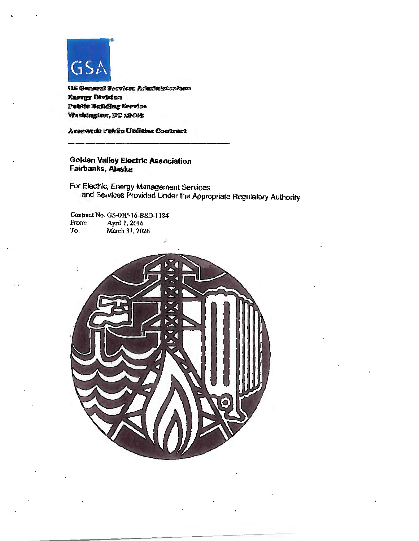

•

US General Services Administration **Energy Division** Public Building Service Washington, DC 20405

Areawide Public Utilities Contract

Golden Valley Electric Association Fairbanks, Alaska

For Electric, Energy Management Services and Services Provided Under the Appropriate Regulatory Authority

Contract No. GS-00P-16-BSD-1184<br>From: April 1, 2016 From: April 1, 2016<br>To: March 31, 202 March 31, 2026

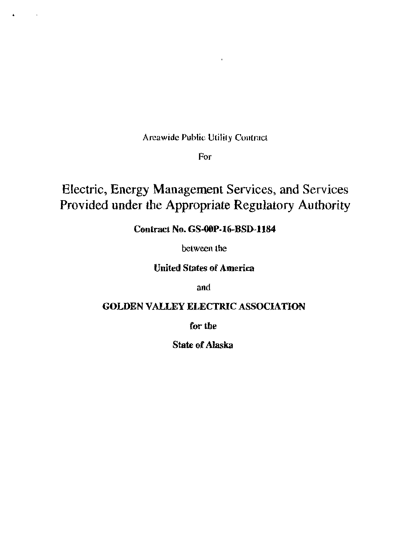Areawide Public Utility Contract

For

## Electric, Energy Management Services, and Services Provided under the Appropriate Regulatory Authority

## Contract No. GS-OOP-16-BSD-1184

between the

United States of America

and

## GOLDEN VALLEY ELECTRIC ASSOCIATION

for the

State of Alaska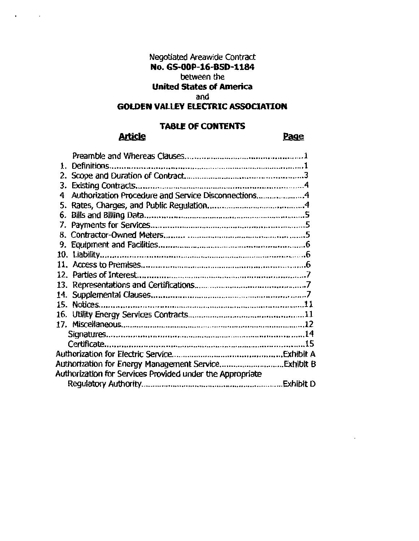## Negotiated Areawide Contract **No. GS-OOP-16-BSD-1184**  between the

## **United States of America**

#### and

## **GOLDEN VALLEY ELECTRIC ASSOCIATION**

## **TABLE OF CONTENTS**

## **Article**

### Page

| 4   | Authorization Procedure and Service Disconnections4       |           |  |
|-----|-----------------------------------------------------------|-----------|--|
| 5.  |                                                           |           |  |
| 6.  |                                                           |           |  |
| 7.  |                                                           |           |  |
|     |                                                           |           |  |
|     |                                                           |           |  |
|     |                                                           |           |  |
|     |                                                           |           |  |
|     |                                                           |           |  |
|     |                                                           |           |  |
| 14. |                                                           |           |  |
| 15. |                                                           |           |  |
|     |                                                           |           |  |
|     |                                                           |           |  |
|     |                                                           |           |  |
|     |                                                           |           |  |
|     |                                                           |           |  |
|     |                                                           |           |  |
|     | Authorization for Services Provided under the Appropriate |           |  |
|     |                                                           | Exhibit D |  |
|     |                                                           |           |  |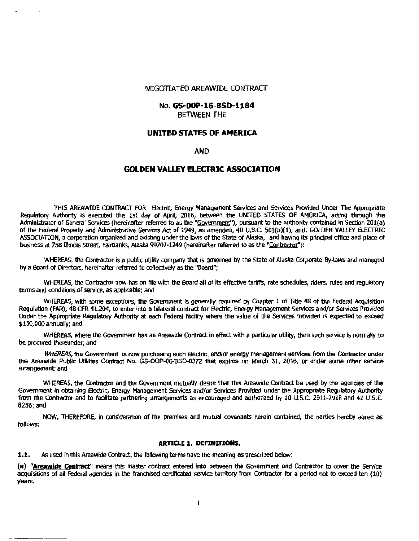#### NEGOTIATED AREAWIDE CONTRACT

#### No. **GS-OOP-16-BSD-1184**  BElWEEN THE

#### **UNITED STATES OF AMERICA**

#### AND

#### **GOLDEN VALLEY ELECTRIC ASSOCIATION**

THIS AREAWIDE CONTRACT FOR Electric, Energy Management Services and Services Provided Under The Appropriate Regulatory Authority is executed this 1st day of April, 2016, between the UNITED STATES OF AMERICA, acting through the Administrator of General Services (hereinafter referred to as the "Goyernment"), pursuant to the authority contained in Section 201(a) of the Federal Property and Administrative Services Act of 1949, as amended, 40 U.S.C. 501(b)(1), and, GOLDEN VALLEY ELECTRIC ASSOQATION, a corporation organized and existing under the laws of the State of Alaska, and having its pnncipal office and place of business at 758 Illinois street, Fairbanks, Alaska 99707-1249 (hereinafter referred to as the "Contractor''):

WHEREAS, the Contractor is a public utility company that is governed by the State of Alaska Corporate By-laws and managed by a Board of Directors, hereinafter referred to collectively as the "Board";

WHEREAS, the Contractor now has on file with the Board all of its effective tariffs, rate schedules, riders, rules and regulatory terms and conditions of service, as applicable; and

WHEREAS, with some exceptions, the Government is generally required by Chapter 1 of Title 48 of the Federal Acquisition Regulation (FAR), 48 CFR 41.204, to enter into a bilateral contract for Electric, Energy Management Services and/or Services Provided Under the Appropriate Regulatory Authority at each Federal facility where the value of the Services provided is expected to exceed \$150,000 annually; and

WHEREAS, where the Government has an Areawide Contract in effect with a particular utility, then such service is normally to be procured thereunder; and

WHEREAS, the Government is now purchasing such electric, and/or energy management services from the Contractor under the Areawide Public Utilities Contract No. GS-OOP-06-BSD-0372 that expires on March 31, 2016, or under some other service arrangement; and

WHEREAS, the Contractor and the Government mutually desire that this Areawide Contract be used by the agencies of the Government in obtaining Electric, Energy Management Services and/or Services Provided under the Appropriate Regulatory Authority from the Contractor and to facilitate partnering arrangements as encouraged and authorized by 10 U.S.C. 2911-2918 and *42* U.5.C. 8256;and

NOW. THEREFORE, in consideration of the premises and mutual covenants herein contained, the parties hereby agree as follows:

#### **ARTICLE 1. DEFINITIONS.**

**1.1.** As used in this Areawide Contract, the following terms have the meaning as prescribed below:

(a) "Areawide Contract" means this master contract entered into between the Government and Contractor to cover the Service acquisitions of all Federal agencies in the franchised certificated service territory from Contractor for a period not to exceed ten {10} years.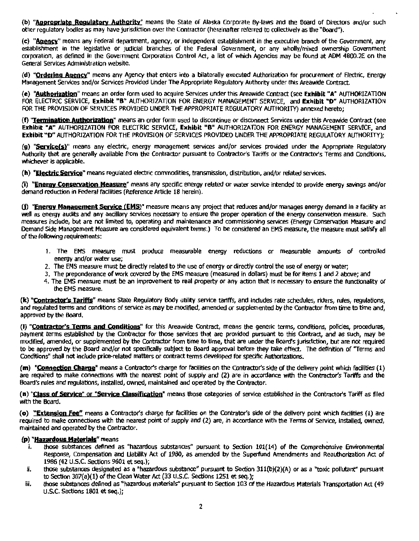(b) "Appropriate Requiatory Authority" means the State of Alaska Corporate By-laws and the Board of Directors and/or such other regulatory bodies as may have jurisdiction over the Contractor (hereinafter referred to collectively as the "Board").

(c) "Agency" means any Federal department, agency, or independent establishment in the executive branch of the Government, any establishment in the legislative or judicial branches of the Federal Government, or any wholly/mixed ownership Government COfporatlon, as defined in the Government Corporation Control Act., a list of which Agencies may be found at ADM 4800.2E on the General Services Administration website.

(d) "Ordering Agency" means any Agency that enters into a bilaterally executed Authorization for procurement of Electric, Energy Management Services and/or Services Provided Under The Appropriate Regulatory Authority under this Areawide Contract.

(e) "Authorization" means an order form used to acquire Services under this Areawide Contract (see Exhibit "A" AUTHORIZATION FOR ELECTRIC SERVICE, Exhibit "B" AUTHORIZATION FOR ENERGY MANAGEMENT SERVICE, and Exhibit "D" AUTHORIZATION FOR THE PROVISION OF SERVICES PROVIDED UNDER THE APPROPRIATE REGULATORY AUTHORITY) annexed hereto;

(f) "Termination Authorization" means an order form used to discontinue or disconnect Services under this Areawide Contract (see Exhibit "A" AUTHORIZATION FOR ELECTRIC SERVICE, Exhibit "B" AUTHORIZATION FOR ENERGY MANAGEMENT SERVICE, and Exhibit "O" AUTHORIZATION FOR THE PROVISION OF SERVICES PROVIDED UNDER THE APPROPRIATE REGULATORY AUTHORITY);

(g) "Service(s)" means any electric, energy management services and/or services provided under the Appropriate Regulatory Authority that are generally available from the Contractor pursuant to Contractor's Tariffs or the Contractor's Terms and Conditions, whichever is applicable.

(h) "Electric Service" means regulated electric commodities, transmission, distribution, and/or related services.

(i) "Energy Conservation Measure" means any specific energy related or water service intended to provide energy savings and/or demand reduction in Federal facilities (Reference Article 18 herein).

(f) "Energy Management Service (EMS)" measure means any project that reduces and/or manages energy demand in a facility as 'Well as energy audits and any ancillary services necessary to ensure the proper operation of the energy conservation measure. Such measures include, but are not limited to, operating and maintenance and commissioning services (Energy Conservation Measure and Demand Side Management Measure are considered equivalent terms.) To be considered an EMS measure, the measure must satisfy all of the rollowing requirements:

- 1. The EMS measure must produce measurable energy reductions or measurable amounts of controlled energy and/or water use;
- 2. The EMS measure must be directly related to the use of energy or directly control the use of energy or water;
- 3. The preponderance of work covered by the EMS measure (measured in dollars) must be for items 1 and 2 above; and
- 4. The EMS measure must be an improvement to real property or any action that is necessary to ensure the functionality of the EMS measure.

(k) "Contractor's Tariffs" means State Regulatory *Body* utility service tariffs, and lndudes rate schedules, riders, rules, regulations, and regulated terms and conditions of service as may be modified, amended or supplemented by the Contractor from time to time and, approved by the Board.

(I) "Contractor's Terms and Conditions" for this Areawide Contract, means the generic terms, conditions, policies, procedures, payment terms established by the Contractor for those services that are provided pursuant to this Contract, and as such, may be modified, amended, or supplemented by the Contractor from time to time, that are under the Board's jurisdiction, but are not required to be approved by the Board and/or not specifically subject to Board approval before they take effect. The definition of "Terms and Conditions" shall not Include price-related matters or contract terms developed for specific Authorizations.

(m) "Connection Charge" means a Contractor's charge for facilities on the Contractor's side of the delivery point which facilities (1) are required to make connections with the nearest point of supply and (2) are in accordance with the Contractor's Tariffs and the Board's rules and regulations, installed, owned, maintained and operated by the Contractor.

(n) "Class of Service" or "Service Classification" means those categories of service established in the Contractor's Tariff as filed with the Board.

(o) "Extension Fee" means a Contractor's charge for facilities on the Contrator's side of the delivery point which facilities (1) are required to make connections with the nearest point of supply and (2) are, in accordance with the Terms of Service, installed, owned, maintained and operated by the Contractor.

#### (p) "Hazardous Materials" means

- i. those substances defined as "hazardous substances" pursuant to Section 101(14) of the Comprehensive Environmental Response, Compensation and Uabiflty Act of 1980, as amended by the Superfund Amendments and Reauthorization Act of 1986 (42 u.s.c. Sections 9601 et seq.);
- II. those substances designated as a "hazardous substance" pursuant to Section 311(b)(2)(A) or as *a* "toxic pollutant" pursuant to Section  $307(a)(1)$  of the Clean Water Act  $(33$  U.S.C. Sections 1251 et seq.);
- iii. those substances defined as "hazardous materials" pursuant to Section 103 of the Hazardous Materials Transportation Act (49 U.S.C. Sections 1801 et seq.);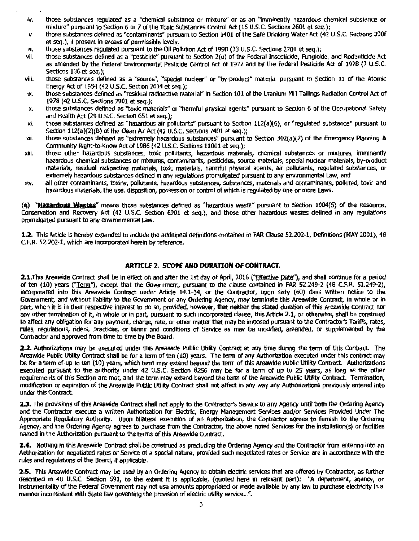- Iv. those substances regulated as a "chemical substance or mixture" or as an "imminently hazardous chemical substance or mixture" pursuant to Section 6 or 7 of the Toxic Substances Control Act (15 U.S.C. Sections 2601 et seq.);
- v. those substances defined as "contaminants" pursuant to Section 1401 of the Safe Drinking Water Act (42 U.S.C. Sections 300f et seq.), if present in excess of permissible levels:
- vi. those substances regulated pursuant to the Oil Pollution Act of 1990 (33 U.S.C. Sections 2701 et seq.);<br>vii. those substances defined as a "pesticide" pursuant to Section 2(u) of the Federal Insecticide. Fungicid
- those substances defined as a "pesticide" pursuant to Section 2(u) of the Federal Insecticide, Fungicide, and Rodenticide Act as amended by the Federal Environmental Pesticide Control Act of 1972 and by the Federal Pesticide Act of 1978 (7 U.S.C. Sections 136 et seq.);
- viii. those substances defined as a "source", "special nuclear" or "by-product" material pursuant to Section 11 of the Atomic Energy Act of 1954 (42 U.S.C. Section 2014 et seq.);
- ix. those substances defined as "residual radioactive material" in Section 101 of the Uranium Mill Tailings Radiation Control Act of 1978 (42 U.S.C. Sections 7901 et seq.);
- x. those substances defined as "toxic materials'' or "harmful physical agents" pursuant to Section 6 of the Occupational Safety and Health Act (29 U.S.C. Section 651 et seq.);
- xi. those substances defined as "hazardous air pollutants" pursuant to Section 112(a}(6}, or "regulated substance" pursuant to Section 112(a)(2)(B) of the Clean Air Act (42 U.S.C. Sections 7401 et seq.);
- $xii$ . those substances defined as "extremely hazardous substances" pursuant to Section 302(a)(2) of the Emergency Planning & Community Right-to-Know Act of 1986 (42 U.S.C. Sections 11001 et seq.);
- xiii. those other hazardous substances, toxic pollutants, hazardous materials, chemical substances or mixtures, imminently hazardous chemical substances or mixtures, rontaminants, pesticides, source materials, special nudear materials, by-product materials, residual radioactive materials, toxic materials, harmful physical agents, air pollutants, regulated substances, or extremely hazardous substances defined in any regulations promulgated pursuant to any environmental Law, and
- xiv. all other contaminants, toxins, pollutants, hazardous substances, substances, materials and contaminants, polluted, toxic and hazardous materials, the use, disposition, possession or control of which is regulated by one or more Laws.

**(q) "Hazantous Wastes"** means those substances defined as "hazardous waste" pursuant to Section 1004(5) of the Resource, Conservation and Recovery Act (42 U.S.C. Section 6901 et seq.), and those other hazardous wastes defined in any regulations promulgated pursuant to any environmental law.

1.2. This Article is hereby expanded to include the additional definitions contained in FAR Clause 52.202-1, Definitions (MAY 2001), 48 C.F.R. 52.202-1, which are incorporated herein by reference.

#### **ARTICLE 2. SCOPE AND DURATION OF CONTRACT.**

2.1.This Areawide Contract shall be in effect on and after the 1st day of April, 2016 ("Effective Date''), and shall continue for a period of ten (10) years ("Term"), except that the Government, pursuant to the clause contained in FAR 52.249-2 (48 C.F.R. 52.249-2), tncorporated into this Areawide Contract under Article 14.1-34, or the Contractor, upon sixty (60) days written notice to the Government, and without liability to the Government or any Ordering Agency, may terminate this Areawide Contract. in whole or in part, when it is in their respective interest to do so, provided, however, that nelther the stated duration of this Areawide Contract nor any other termination of it, In whole or in part, pursuant to such incorporated clause, this Artide 2.1, or otherwise, shall be construed to affect any obligation for any payment, charge, rate, or other matter that may be imposed pursuant to the Contractor's Tariffs, rates, rules, regulations, riders, practices, or terms and conditions of Service as may be modified, amended, or supplemented by the Contractor and approved from time to time by the Board.

**2.2.** Authorizations may be executed under this Areawide Public Utility Contract at any time during the term of this Contract. The Areawide Public Utility Contract shall be for a term of ten (10) years. The term of any Authorization executed under this contract may be for a term of.up to ten (10) years, which tenn may extend beyond the tenn of this Areawide Public Utility Contract. Authorizations executed pursuant to the authority under 42 U.S.C. Section 8256 may be for a term of up to 25 years, as long as the other requirements of this Section are met, and the tenn may extend beyond the term of the Areawide Public utility Contract. Termination, modification or expiration of the Areawide Public Utility Contract shall not affect in any way any Authorizations previously entered into under this Contract.

**2.3.** The provisions of this Areawide Contract shall not apply to the Contractor's Service to any Agency until both the Ordering Agency and the Contractor execute a written Authorization for Electric, Energy Management Services and/or Services Provided Under The Appropriate Regulatory Authority. Upon bilateral execution of an Authorization, the Contractor agrees to furnish to the Ordering Agency, and the Ordering Agency agrees to purchase from the Contractor, the above noted Services for the installation(s) or facilities named in the Authorization pursuant to the tenns of this Areawide Contract.

**2.4.** Nothing in this Areawide Contract shall be construed as precluding the Ordering Agency and the Contractor from entering into an Authorization for negotiated rates or Service of a special nature, provided such negotiated rates or Service are In accordance With the rules and regulations of the Board, if applicable.

**2.5.** This Areawide Contract may be used by an Ordering Agency to obtain electric services that are offered by Contractor, as further described in 40 U.S.C. Section 591, to the extent It is applicable, (quoted here in relevant part): "A department, agency, or instrumentality of the Federal Government may not use amounts appropriated or made available by any law to purchase electricity in a manner inconsistent with State law governing the provision of electric utility service..."'.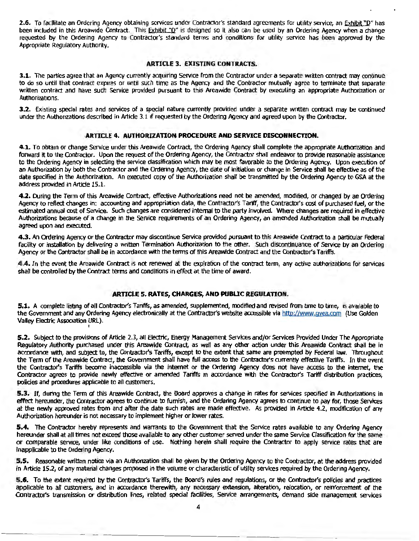2.6. To facilitate an Ordering Agency obtaining services under Contractor's standard agreements for utility service, an Exhibit "D" has been included in this Areawide Contract. This Exhibit."D" is designed so it also can be used by an Ordering Agency when a change requested by the Ordering Agency to Contractor's standard terms and conditions for utility service has been approved by the Appropriate Regulatory Authority.

#### ARTICLE 3. EXISTING CONTRACTS.

3.1. The parties agree that an Agency currently acquiring Service from the Contractor under a separate written contract may continue to do so until that contract expires or until such time as the Agency and the Contractor mutually agree to terminate that separate written contract and have such Service provided pursuant to this Areawide Contract by executing an appropriate Authorization or Authorizations.

3.2. Existing special rates and services of a special nature currently provided under a separate written contract may be continued under the Authorizations described in Article 3.1 if requested by the Ordering Agency and agreed upon by the Contractor.

#### ARTICLE 4. AUTHORIZATION PROCEDURE AND SERVICE DISCONNECTION.

4.1. To obtain or change Service under this Areawide Contract, the Ordering Agency shall complete the appropriate Authorization and forward it to the Contractor. Upon the request of the Ordering Agency, the Contractor shall endeavor to provide reasonable assistance to the Ordering Agency in selecting the service dasslfication which may be most favorable to the Ordering Agency. Upon execution of an Authorization by both the Contractor and the Ordering Agency, the date of initiation or change in Service shall be effective as of the date specified in the Authorization. An executed copy of the Authorization shall be transmitted by the Ordering Agency to GSA at the address provided in Artide 15.1.

4.2. During the Term of this Areawide Contract, effective Authorizations need not be amended, modified, or changed by an Ordering Agency to reflect changes in: accounting and appropriation data, the Contractor's Tartff, the Contractor's cost of purchased fuel, or the estimated annual cost of Service. Such changes are considered internal to the party involved. Where changes are required in effective Authorizations because of a change in the Service requirements of an Ordering Agency, an amended Authorization shall be mutually agreed upon and executed.

4.3. An Ordering Agency or the Contractor may discontinue Service provided pursuant to this Areawide Contract to a particular Federal facility or installation by delivering a written Termination Authorization to the other. Such discontinuance of Service by an Ordering Agency or the Contractor shall be in accordance with the terms of this Areawide Contract and the Contractor's Tariffs.

4.4. In the event the Areawide Contract is not renewed at the expiration of the contract term, any active authorizations for services shall be controlled by the Contract terms and conditions in effect at the time of award.

#### ARTICLE 5. RATES, CHARGES, AND PUBLIC REGULATION.

5.1. A complete listing of all Contractor's Tariffs, as amended, supplemented, modified and revised from time to time, is available to the Government and any Ordering Agency electronically at the Contractor's website accessible via http://www.gvea.com (Use Golden Valley Electric Association URL). I

5.2. Subject to the provisions of Article 2.3, all Electric, Energy Management Services and/or Services Provided Under The Appropriate Regulatory Authority purchased under this Areawide Contract, as well as any other action under this Areawide Contract shall be in accordance with, and subject to, the Contractor's Tariffs, except to the extent that same are preempted by Federal law. Throughout the Term of the Areawide Contract, the Government shall have full access to the Contractor's currently effective Tariffs. In the event the Contractor's Tariffs become inaccessible via the internet or the Ordering Agency does not have access to the internet, the Contractor agrees to provide newly effective or amended Tariffs in accordance With the Contractor's Tariff distribution practices, policies and procedures applicable to all customers.

5.3. If, during the Term of this Areawide Contract, the Board approves a change in rates for services specified in Authorizations in effect hereunder, the Contractor agrees to continue to furnish, and the Ordering Agency agrees to continue to pay for, those Services at the newly approved rates from and after the date such rates are made effective. As provided in Article 4.2, modification of any Authorization hereunder is not necessary to implement higher or lower rates.

5.4. The Contractor hereby represents and warrants to the Government that the Service rates available to any Ordering Agency hereunder shall at all times not exceed those available to any other customer served under the same Service Classification for the same or comparable service, under like conditions of use. Nothing herein shall require the Contractor to apply service rates that are Inapplicable to the Ordering Agency.

S.S. Reasonable written notice via an Authorization shall be given by the Ordering Agency to the Contractor, at the address provided in Article 15.2, of any material changes proposed in the volume or characteristic of utility services required by the Ordering Agency.

5.6. To the extent required by the Contractor's Tariffs, the Board's rules and regulations, or the Contractor's policies and practices applicable to all customers, and in accordance therewith, any necessary extension, alteration, relocation, or reinforcement of the Contractor's transmission or distribution lines, related special fadllties, Service arrangements, demand side management services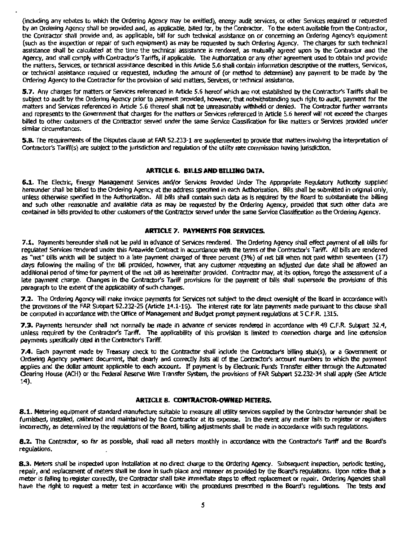(including any rebates to which the Ordering Agency may be entitled), energy audit services, or other Services required or requested by an Ordering Agency shall be provided and, as applicable, billed for, by the Contractor. To the extent available from the Contractor, the Contractor shall provide and, as applicable, bill for such technical assistance on or concerning an Ordering Agency's equipment (such as the inspection or repair of such equipment} as may be requested by such Ordering Agency. The charges for such technical assistance shall be calculated at the time the technical assistance is rendered, as mutually agreed upon by the Contractor and the Agency, and shall comply with Contractor's Tariffs, if applicable. The Authorization or any other agreement used to obtain and provide the matters, Services, or technical assistance described in this Artide 5.6 shall oontain Information descriptive of the matters, Services, or technical assistance required or requested, induding the amount of (or method to determine) any payment l'o be made by the Ordering Agency to the Contractor for the provision of said matters, Services, or technical assistance.

5.7. Any charges for matters or Services referenced in Article 5.6 hereof which are not established by the Contractor's Tariffs shall be subject to audit by the Ordering Agency prior to payment provided, however, that notwithstanding such right to audit, payment for the matters and Services referenced in Article 5.6 thereof shall not be unreasonably withheld or denied. The Contractor further warrants and represents to the Government that charges for the matters or Services referenced in Article 5.6 hereof will not exceed the charges billed to other customers of the Contractor served under the same Service Classification for like matters or Services provided under similar circumstances.

**5.8.** The requirements of the Disputes clause at FAR 52.233-1 are supplemented to provide that matters involving the interpretation of Contractor's Tariff(s) are subject to the jurisdiction and regulation of the utility rate commission having jurisdiction.

#### **ARTICLE 6. BIUS AND BILUNG DATA.**

**6.1.** The Electric, Energy Management Services and/or Services Provided Under The Appropriate Regulatory Authority supplied hereunder shall be billed to the Ordering Agency at the address specified in each Authorization. Bills shall be submitted in original only, unless otherwise specified in the Authorization. All bills shall contain such data as is required by the Board to substantiate the billing and such other reasonable and available data as may be requested by the Ordering Agency, provided that such other data are contained in bills provided to otner customers of the Contractor served under the same Service Classffication as the Ordering Agency.

#### **ARTICLE 7. PAYMENTS FOR SERVICES.**

7.1. Payments hereunder shall not be paid in advance of Services rendered. The Ordering Agency shall effect payment of all bills for regulated Services rendered under this Areawide Contract in accordance with the terms of the Contractor's Tariff. All bills are rendered as "net" bills which will be subject to a late payment charged of three percent (3%) of net bill when not paid within seventeen (17} days following the mailing of the bill provided, however, that any customer requesting an adjusted due date shall be allowed an additional period of time for payment of the net bill as hereinafter provided. Contractor may, at its option, forego the assessment of a late payment charge. Changes In the Contractor's Tariff provisions for the payment of bills shall supersede the provisions of this paragraph to the extent of the applicability of such changes.

**7.2.** The Ordering Agency will make Invoice payments for Services not subject to the direct oversight of the Board in accordance with the provisions of the FAR Subpart 52.232-25 (Article 14.1-16). The interest rate for late payments made pursuant to this clause shall be computed in acrordance with the Office of Management and Budget prompt payment regulations at 5 C.F.R. 1315.

**7.3.** Payments hereunder shall not normally be made in advance of services rendered in accordance with 48 C.F.R. Subpart 32.4, unless required by the Contractor's Tariff. The applicability of this provision is limited to connection charge and line extension payments specifically cited in the Contractor's Tariff.

**7.4.** Each payment made by Treasury check to the Contractor shall include the Contractor's bllling stub(s), or a Government or Ordering Agency payment document, that dearly and correctly lists all of the Contractor's account numbers to which the payment applies and the dollar amount applicable to each accoont. If payment Is by Electronic Funds Transfer either through the Automated Clearing House (ACH) or the Federal Reserve Wire Transfer System, the provisions of FAR Subpart 52.232-34 shall apply (See Article 14).

#### **ARTICLE 8. CONTRACTOR-OWNED METERS.**

**8.1.** Metering equipment of standard manufacture suitable to measure all utility services supplied by the Contractor hereunder shall be furnished, installed, calibrated and maintained by the Contractor at its expense. In the event any meter fails to register or registers Incorrectly, as detennined by the regulations of the Board, billing adjustments shall be made in accordance with such regulations.

**8.2.** The Contractor, so far as possible, shall read all meters monthly in accordance with the Contractor's Tariff and the Board's regulations.

**8.3.** Meters shall be inspected upon installation at no direct charge to the Ordering Agency. Subsequent inspection, periodic testing, repair, and replacement of meters shall be done in such place and manner as provided by the Board's regulations. Upon notice that a meter is falling to register correctly, the Contractor shall take immediate steps to effect replacement or repair. Ordering Agencies shall have the right to request a meter test in accordance with the procedures prescribed in the Board's regulations. The tests and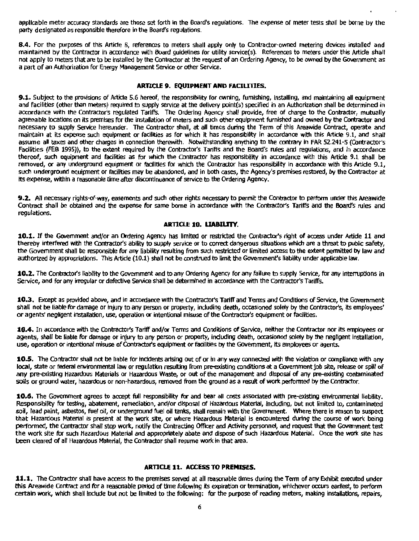appllcable meter accuracy standards are those set forth in the Board's regulations. The expense of meter tests shall be borne by the party designated as responsible therefore in the Board's regulations.

**8.4.** For the purposes of this Artide 8, references to meters shall apply only to Contractor-owned metering devices installed and maintained by the Contractor in accordance with Board guidelines for utility servtce(s). References to meters under this Artide shall not apply to meters that are to be installed by the Contractor at the request of an Ordering Agency, to be owned by the Government as a part of an Authorization for Energy Management Service or other Service.

#### **ARTICLE 9. EQUIPMENT AND FACILITIES.**

**9.1.** Subject to the provisions of Article 5.6 hereof, the responsibility for owning, furnishing, installing, and maintaining all equipment and facilities (other than meters) required to supply service at the delivery point(s) specified in an Authorization shall be determined in accordance with the Contractor's regulated Tariffs. The Ordering Agency shall provide, free of charge to the Contractor, mutually agreeable locations on its premises for the installation of meters and such other equipment furnished and owned by the Contractor and necessary to supply Service hereunder. The Contractor shall, at all times during the Term of this Areawide Contract, operate and maintain at its expense such equipment or facilities as for which it has responsibility in accordance with this Artide 9.1, and shall assume all taxes and other charges in connection therewith. Notwithstanding anything to the contrary in FAR 52.241-5 (Contractor's facirlties (FEB 1995)), to *the* extent required by the Contractor's Tariffs and the Board's rules and regulations, and in accordance thereof, such equipment and facilities as for which the Contractor has responsibility in accordance with this Article 9.1 shall be removed, or any underground equipment or facilities for which the Contractor has responsibility in accordance with this Article 9.1, such underground equipment or facilities may be abandoned, and in both *cases,* the Agency's premises restored, by the Contractor at its expense, within a reasonable time after discontinuance of service to the Ordering Agency.

**9.2.** All necessary rights-of-way, easements and such other rights necessary to permit the Contractor to perform under this Areawide Contract shall be obtained and the expense for same borne in accordance with the Contractor's Tariffs and the Board's rules and regulations.

#### **ARTICLE 10. LIABILITY.**

**10.1.** If the Government and/or an Ordering Agency has limited or restricted the Contractor's right of access under Artide 11 and thereby interfered with the Contractor's ability to supply service or to correct dangerous situations which are a threat to public safety, the Government shall be responsible for any liability resulting from such restricted or limited access to the extent permitted by law and authorized by appropriations. This Article (10.1) shall not be construed to limit the Government's liability under applicable law.

**10.2.** The Contractor's liability to the Government and to any Ordering Agency for any failure to supply Service, for any interruptions in Service, and for any irregular or defective Service shall be determined in accordance with the Contractor's Tariffs.

**10.3.** Except as provided above, and in accordance with the Contractor's Tariff and Terms and Conditions of Service, the Government shall not be liable for damage or injury *to* any person or property, including death, occasioned solely by the Contractor's, Its employees' or agents' negligent installation, use, operation or intentional misuse of the Contractor's equipment or facilities.

**10.4.** In accordance with the Contractor's Tariff and/or Tenns and Conditions of Service, neither the Contractor nor Its employees or agents, shall be liable for damage or injury to any person or property, including death, occasioned solely by the negligent installation, use, operation or intentional misuse of Contractor's equipment or facilities by the Government, its employees or agents.

10.5. The Contractor shall not be liable for incidents arising out of or in any way connected with the violation or compliance with any local, state or federal environmental law or regulation resulting from pre-existing conditions at a Government job slte, release or spill of any pre-existing Hazardous Materials or Hazardous Waste, or out of the management and disposal of any pre-existing contaminated soils or ground water, hazardous or non-hazardous, removed from the ground as a result of work performed by the Contractor.

**10.6.** The Government agrees to accept full responsibility for and bear all costs associated with pre-existing environmental liability. Responsibility for testing, abatement, remediation, and/or disposal of Hazardous Material, including, but not limited to, contaminated soil, lead paint, asbestos, fuel oil, or underground fuel oil tanks, shall remain with the Government. Where there is reason to suspect that Hazardous Material is present at the work site, or where Hazardous Material is encountered during the course of work being performed, the Contractor shall stop work, notify the Contracting Officer and Activity personnel, and request that the Government test the work site for such Hazardous Material and appropriately abate and dispose of such Hazardous Material. Once the work site has been cleared of all Hazardous Material, the Contractor shall resume work in that area.

#### **ARTICLE 11. ACCESS TO PREMISES.**

**11.1.** The Contractor shall have access to the premises served at all reasonable times during the Term ofany Exhibit executed under this Areawide Contract and for a reasonable period of time following its expiration or termination, whichever occurs earliest, to perform certain work, which shall include but not be limited to the following: for the purpose of reading meters, making installations, repairs,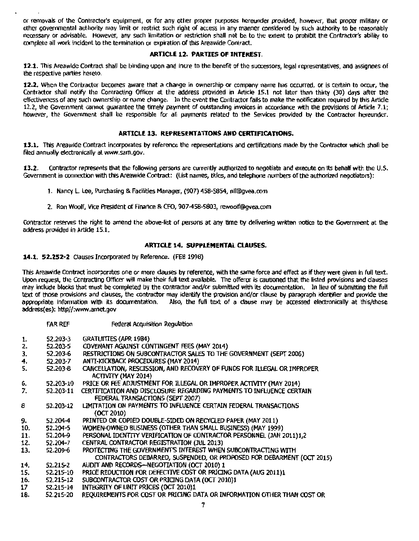or removals of the Contractor's equipment, or for any other proper purposes hereunder provided, however, that proper military or other governmental authority may limit or restrict such right of access in any manner considered by such authority to be reasonably necessary or advisable. However, any such limitation or restriction shall not be to the extent to prohibit the Contractor's ability to complete all work incident to the termination or expiration of this Areawide Contract.

#### ARTICLE 12. PARTIES OF INTEREST.

12.1. This Areawide Contract shall be binding upon and inure to the benefit of the successors, legal representatives, and assignees of the respective parties hereto.

12.2. When the Contractor becomes aware that a change in ownership or company name has occurred, or is certain to occur, the Contractor shall notify the Contracting Officer at the address provided in Article 15.1 not later than thirty (30) days after the effectiveness of any such ownership or name change. In the event the contractor fails to make the notification required by this Article 12.2, the Govemment cannot guarantee the timely payment of outstanding invoices in accordance with the provisions of Article 7.1; however, the Government shall be responsible for all payments related to the Services provided by the Contractor hereunder.

#### ARTICLE 13. REPRESENTATIONS AND CERTIFICATIONS.

13.1. This Areawide Contract incorporates by reference the representations and certifications made by the Contractor which shall be filed annually electronically al www.sam.gov.

13.2. Contractor represents that the following persons are currently authorized to negotiate and execute on its behalf with the U.S. Government in connection with this Areawide Contract: (list names, titles, and telephone numbers ofthe authorized negotiators):

- 1. Nancy L. Lee, Purchasing & Facilities Manager, (907) 458-5854, nll@gyea.com
- 2. Ron Woolf, Vice President of Finance & CFO, 907-458-5803, rewoolf@gvea.com

Contractor reserves the right to amend the above-list of persons at any time by delivering written notice to the Government at the address provided in Artide 15.1.

#### ARTICLE 14. SUPPLEMENTAL CLAUSES.

14.1. 52.252-2 Clauses Incorporated by Reference. (FEB 1998)

This Areawide Contract incorporates one or more clauses by reference, with the same force and effect as if they were given in full text. Upon request, the Contracting Officer will make their full text available. The offeror is cautioned that the listed provisions and clauses may include blocks that must be completed by the contractor and/or submitted with its documentation. In lieu of submitting the full text of those provisions and clauses, the contractor may identify the provision and/or clause by paragraph identifier and provide the appropriate information with its documentation. Also, the full text of a clause may be accessed electronically at this/these address(es): http//:www.arnet.gov

|     | far ref   | Federal Acquisition Regulation                                                                        |
|-----|-----------|-------------------------------------------------------------------------------------------------------|
| 1.  | 52.203-3  | <b>GRATUITTES (APR 1984)</b>                                                                          |
| 2.  | 52.203-5  | COVENANT AGAINST CONTINGENT FEES (MAY 2014)                                                           |
| 3.  | 52.203-6  | RESTRICTIONS ON SUBCONTRACTOR SALES TO THE GOVERNMENT (SEPT 2006)                                     |
| 4.  | 52.203-7  | ANTI-KICKBACK PROCEDURES (MAY 2014)                                                                   |
| 5.  | 52.203-8  | CANCELLATION, RESCISSION, AND RECOVERY OF FUNDS FOR ILLEGAL OR IMPROPER<br><b>ACTIVITY (MAY 2014)</b> |
| 6.  | 52.203-10 | PRICE OR FEE ADJUSTMENT FOR ILLEGAL OR IMPROPER ACTIVITY (MAY 2014)                                   |
| 7.  | 52.203-11 | CERTIFICATION AND DISCLOSURE REGARDING PAYMENTS TO INFLUENCE CERTAIN                                  |
|     |           | FEDERAL TRANSACTIONS (SEPT 2007)                                                                      |
| 8   | 52.203-12 | LIMITATION ON PAYMENTS TO INFLUENCE CERTAIN FEDERAL TRANSACTIONS                                      |
|     |           | (0CT 2010)                                                                                            |
| 9.  | 52.204-4  | PRINTED OR COPIED DOUBLE-SIDED ON RECYCLED PAPER (MAY 2011)                                           |
| 10. | 52.204-5  | WOMEN-OWNED BUSINESS (OTHER THAN SMALL BUSINESS) (MAY 1999)                                           |
| 11. | 52.204-9  | PERSONAL IDENTITY VERIFICATION OF CONTRACTOR PERSONNEL (JAN 2011)1,2                                  |
| 12. | 52.204-7  | CENTRAL CONTRACTOR REGISTRATION (JUL 2013)                                                            |
| 13. | 52.209-6  | PROTECTING THE GOVERNMENT'S INTEREST WHEN SUBCONTRACTING WITH                                         |
|     |           | CONTRACTORS DEBARRED, SUSPENDED, OR PROPOSED FOR DEBARMENT (OCT 2015)                                 |
| 14, | 52.215-2  | AUDIT AND RECORDS-NEGOTIATION (OCT 2010) 1                                                            |
| 15. | 52.215-10 | PRICE REDUCTION FOR DEFECTIVE COST OR PRICING DATA (AUG 2011)1                                        |
| 16. | 52.215-12 | SUBCONTRACTOR COST OR PRICING DATA (OCT 2010)1                                                        |
| 17  | 52.215-14 | INTEGRITY OF UNIT PRICES (OCT 2010)1                                                                  |
| 18. | 52.215-20 | REQUIREMENTS FOR COST OR PRICING DATA OR INFORMATION OTHER THAN COST OR                               |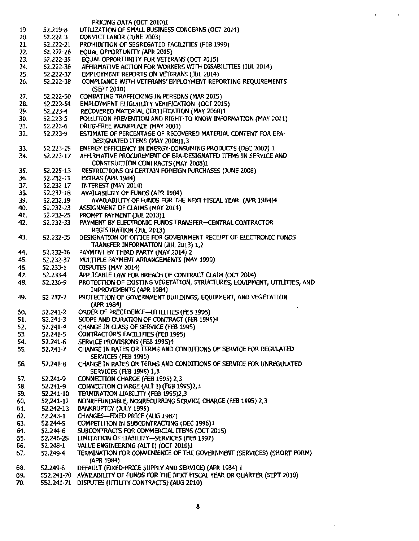|     |            | PRICING DATA (OCT 2010)1                                                         |
|-----|------------|----------------------------------------------------------------------------------|
| 19. | 52.219-8   | UTILIZATION OF SMALL BUSINESS CONCERNS (OCT 2014)                                |
| 20. | 52.222-3   | CONVICT LABOR (JUNE 2003)                                                        |
| 21. | 52,222-21  | PROHIBITION OF SEGREGATED FACILITIES (FEB 1999)                                  |
| 22. | 52.222-26  | EQUAL OPPORTUNITY (APR 2015)                                                     |
| 23. | 52.222-35  | EQUAL OPPORTUNITY FOR VETERANS (OCT 2015)                                        |
| 24. | 52.222-36  | AFFIRMATIVE ACTION FOR WORKERS WITH DISABILITIES (JUL 2014)                      |
| 25. | 52.222-37  | EMPLOYMENT REPORTS ON VETERANS (JUL 2014)                                        |
|     | 52.222-38  | COMPLIANCE WITH VETERANS' EMPLOYMENT REPORTING REQUIREMENTS                      |
| 26. |            |                                                                                  |
|     |            | (SEPT 2010)                                                                      |
| 27. | 52.222-50  | COMBATING TRAFFICKING IN PERSONS (MAR 2015)                                      |
| 28, | 52.222-54  | EMPLOYMENT ELIGIBILITY VERIFICATION (OCT 2015)                                   |
| 29. | 52.223-4   | RECOVERED MATERIAL CERTIFICATION (MAY 2008)1                                     |
| 30. | 52.223-5   | POLLUTION PREVENTION AND RIGHT-TO-KNOW INFORMATION (MAY 2011)                    |
| 31. | 52.223-6   | DRUG-FREE WORKPLACE (MAY 2001)                                                   |
| 32. | 52.223-9   | ESTIMATE OF PERCENTAGE OF RECOVERED MATERIAL CONTENT FOR EPA-                    |
|     |            | DESIGNATED ITEMS (MAY 2008)1,3                                                   |
| 33. | 52.223-15  | ENERGY EFFICIENCY IN ENERGY-CONSUMING PRODUCTS (DEC 2007) 1                      |
| 34. | 52.223-17  | AFFIRMATIVE PROCUREMENT OF EPA-DESIGNATED ITEMS IN SERVICE AND                   |
|     |            | CONSTRUCTION CONTRACTS (MAY 2008)1                                               |
| 35. | 52.225-13  | RESTRICTIONS ON CERTAIN FOREIGN PURCHASES (JUNE 2008)                            |
|     |            |                                                                                  |
| 36. | 52.232-11  | EXTRAS (APR 1984)                                                                |
| 37. | 52.232-17  | INTEREST (MAY 2014)                                                              |
| 38. | 52.232-18  | AVAILABILITY OF FUNDS (APR 1984)                                                 |
| 39. | 52.232.19  | AVAILABILITY OF FUNDS FOR THE NEXT FISCAL YEAR (APR 1984)4                       |
| 40. | 52.232-23  | ASSIGNMENT OF CLAIMS (MAY 2014)                                                  |
| 41. | 52.232-25  | PROMPT PAYMENT (JUL 2013)1                                                       |
| 42. | 52.232-33  | PAYMENT BY ELECTRONIC FUNDS TRANSFER-CENTRAL CONTRACTOR                          |
|     |            | <b>REGISTRATION (JUL 2013)</b>                                                   |
| 43. | 52.232-35  | DESIGNATION OF OFFICE FOR GOVERNMENT RECEIPT OF ELECTRONIC FUNDS                 |
|     |            | TRANSFER INFORMATION (JUL 2013) 1,2                                              |
| 44. | 52.232-36  | PAYMENT BY THIRD PARTY (MAY 2014) 2                                              |
| 45. |            | MULTIPLE PAYMENT ARRANGEMENTS (MAY 1999)                                         |
|     | 52.232-37  |                                                                                  |
| 46. | 52.233-1   | DISPUTES (MAY 2014)                                                              |
| 47. | 52.233-4   | APPLICABLE LAW FOR BREACH OF CONTRACT CLAIM (OCT 2004)                           |
| 48. | 52.236-9   | PROTECTION OF EXISTING VEGETATION, STRUCTURES, EQUIPMENT, UTILITIES, AND         |
|     |            | IMPROVEMENTS (APR 1984)                                                          |
| 49. | 52.237-2   | PROTECTION OF GOVERNMENT BUILDINGS, EQUIPMENT, AND VEGETATION                    |
|     |            | (APR 1984)                                                                       |
| 50. | 52.241-2   | ORDER OF PRECEDENCE-UTILITIES (FEB 1995)                                         |
| 51. | 52.241-3   | SCOPE AND DURATION OF CONTRACT (FEB 1995)4                                       |
| 52. | 52.241-4   | CHANGE IN CLASS OF SERVICE (FEB 1995)                                            |
| 53. | 52.241-5   | CONTRACTOR'S FACILITIES (FEB 1995)                                               |
| S4. | 52.241-6   | SERVICE PROVISIONS (FEB 1995)4                                                   |
| 55. | 52.241-7   | CHANGE IN RATES OR TERMS AND CONDITIONS OF SERVICE FOR REGULATED                 |
|     |            |                                                                                  |
|     |            | SERVICES (FEB 1995)                                                              |
| 56. | 52.241-8   | CHANGE IN RATES OR TERMS AND CONDITIONS OF SERVICE FOR UNREGULATED               |
|     |            | <b>SERVICES (FEB 1995) 1,3</b>                                                   |
| 57. | 52.241-9   | CONNECTION CHARGE (FEB 1995) 2,3                                                 |
| 58. | 52.241-9   | CONNECTION CHARGE (ALT I) (FEB 1995)2,3                                          |
| 59. | 52.241-10  | TERMINATION LIABILITY (FEB 1995)2,3                                              |
| 60. | 52,241-12  | NONREFUNDABLE, NONRECURRING SERVICE CHARGE (FEB 1995) 2,3                        |
| 61. | 52.242-13  | BANKRUPTCY (JULY 1995)                                                           |
| 62. | 52.243-1   | CHANGES-FIXED PRICE (AUG 1987)                                                   |
| 63. | 52.244-5   | COMPETITION IN SUBCONTRACTING (DEC 1996)1                                        |
| 64. | 52.244-6   | SUBCONTRACTS FOR COMMERCIAL ITEMS (OCT 2015)                                     |
| 65. | 52.246-25  | LIMITATION OF LIABILITY-SERVICES (FEB 1997)                                      |
|     |            |                                                                                  |
| 66. | 52.248-1   | VALUE ENGINEERING (ALT I) (OCT 2010)1                                            |
| 67. | 52.249-4   | TERMINATION FOR CONVENIENCE OF THE GOVERNMENT (SERVICES) (SHORT FORM)            |
|     |            | (APR 1984)                                                                       |
| 68. | 52.249-8   | DEFAULT (FIXED-PRICE SUPPLY AND SERVICE) (APR 1984) 1                            |
| 69. |            | 552.241-70 AVAILABILITY OF FUNDS FOR THE NEXT FISCAL YEAR OR QUARTER (SEPT 2010) |
| 70. | 552.241-71 | DISPUTES (UTILITY CONTRACTS) (AUG 2010)                                          |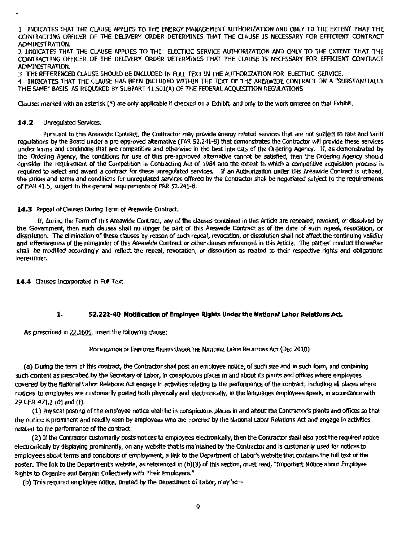1 JNDlCATES THAT THE CLAUSE APPLIES TO THE ENERGY MANAGEMENT AUTHORIZATION AND ONLY TO THE EXTENT THAT THE CONTRACTING OFFICER OF THE DELIVERY ORDER DETERMINES THAT THE CLAUSE IS NECESSARY FOR EFFIOENT CONTRACT ADMINISTRATION.

2 INDICATES THAT THE CLAUSE APPLIES TO THE ELECTRIC SERVICE AUTHORIZATION ANO ONLY TO THE EXTENT THAT THE CONTRACTING OFFICER OF THE DELIVERY ORDER DETERMINES THAT THE CLAUSE JS NECESSARY FOR EFFICIENT CONTRACT ADMINISTRATION.

3 THE REFERENCED a.ALISE SHOULD BE INCLUDED IN FULL TEXT JN THE AUTHORIZATION FOR ELECTRIC SERVICE.

4 INDICATES THAT THE CLAUSE HAS BEEN INCLUDED WITHIN THE TEXT OF THE AREAWIDE CONTRACT ON A "SUBSTANTIALLV THE SAME" BASIS AS REQUIRED BY SUBPART 41.501(A) OF THE FEDERAL ACQUISITION REGULATIONS

Clauses marked with an asterisk (\*) are only applicable if checked on a Exhibit, and only to the work ordered on that Exhibit.

#### **14.2** Unregulated Services.

Pursuant to this Areawide Contract, the Contractor may provide energy related services that are not subject to rate and tariff regulations by the Board under a pre-approved alternative (FAR 52.241-8) that demonstrates the Contractor will provide these services under terms and conditions that are competitive and otherwise in the best interests of the Ordering Agency. If, as demonstrated by the Ordering Agency, the conditions for use of this pre-approved alternative cannot be satisfied, then the Ordering Agency should consider the requirement of the Competition in Contracting Act of 1984 and the extent to which a competitive acquisition process is required to select and award a contract for these unregulated services. If an Authorization under this Areawide Contract ls utilized, the prices and terms and conditions for unregulated services offered by the Contractor shall be negotiated subject to the requirements of FAR 41.5, subject to the general requirements of FAR 52.241-8.

#### 14.3 Repeal of Clauses During Term of Areawide Contract.

If, during the Term of this Areawide Contract, any of the clauses contained in this Article are repealed, revoked, or dissolved by the Government, then such dauses shall no longer be part of this Areawide Contract as of the date of such repeal, revocation, or dissolution. The elimination of these clauses by reason of such repeal, revocation, or dissolution shall not affect the continuing validity and effectiveness of the remainder of this Areawide Contract or other dauses referenced in this Artide. The parties' conduct thereafter shall be modified accordingly and reflect the repeal, revocation, or dissolution as related to their respective rights and obligations hereunder.

**14.4** Oauses Incorporated in Full Text.

#### **1. 52.222-40 Notification of Employee Rights Under the National Labor Relations Act.**

As prescribed in 22.1605, insert the following dause:

#### NOTIFICATION OF EMPLOYEE RIGHTS UNDER THE NATIONAL LABOR RELATIONS ACT (DEC 2010)

(a) During the term of this contract, the Contractor shall post an employee notice, of such size and in such form, and containing such content as prescribed by the Secretary of Labor, in conspicuous places in and about its plants and offices where employees covered by the National Labor Relations Act engage in activities relating to the performance of the contract, including all places where notices to employees are customarily posted both physically and electronically, in the languages employees speak, in accordance with 29 CFR 471.2 (d) and (f}.

(1) Physical posting of the employee notice shall be in conspicuous places in and about the Contractor's plants and offices so that the notice is prominent and readfly seen by employees who are covered by the National Labor Relations Act and engage in activities related to the performance of the contract.

(2) Ifthe Contractor customarily posts notices to employees electronlcally, then the Contractor shall also post the required notice electronically by displaying prominently, on any website that is maintained by the Contractor and is customarily used for notices to employees about terms and conditions of employment, a link to the Department of Labor's website that contains the full text of the poster. The link to the Department's website, as referenced in (b)(3) of this section, must read, "Important Notice about Employee Rights to Organize and Bargain Collectively with Their Employers."

(b) This required employee notice, printed by the Department of Labor, may be--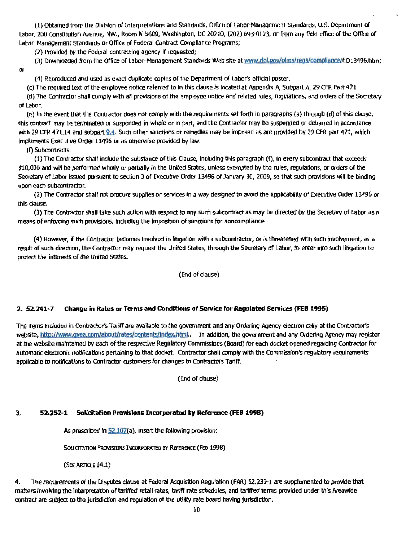(1) Obtained from the Division ol lnlerpretallons and Standards, Office of labor-Management Standards, U.S. Department of labor, 200 Constitution Avenue, NW., Room N-5609, Washington, DC 20210, (202) 693-0123, or from any field office of the Office of Labor- Management Standards or Office of Federal Contract Compliance Programs;

(2) Provided by the Federal contracting agency If requested;

(3) Downloaded from the Office of Labor-Management Standards Web site at www.dol.gov/olms/regs/compliance/E013496.htm; Or

(4) Reproduced and used as exact duplicate copies of the Department of Labor's official poster.

(c) The required text of the employee notice referred to in this clause Is located at Appendix A, Subpart A, 29 CFR Part 471. (d) The Contractor shall comply with all provisions of the employee notice and related rules, regulations, and orders of the Secretary of Labor.

(e) In the event U1at the Contractor does not comply with the requirements set forth in paragraphs (a) through (d) of this clause, this contract may be terminated or suspended in whole or in part, and the Contractor may be suspended or debarred in accordance with 29 CFR 471.14 and subpart  $9.4$ . Such other sanctions or remedies may be imposed as are provided by 29 CFR part 471, which implements Executive Order 13496 or as otherwise provided by law.

(f) Subcontracts.

(1) The Contractor shall include the substance of this Clause, including this paragraph (f}, in every subcontract that exceeds \$10,000 and will be performed wholly or partially in the United States, unless exempted by the rules, regulations, or orders of the Secretary of Labor issued pursuant to section 3 of Executive Order 13496 of January 30, 2009, so that such provisions will be binding upon each subcontractor.

(2) The Contractor shall not procure supplies or services in a way designed to avoid the applicability of Executive Order 13496 or this clause.

(3) The Contractor shall take such action with respect to any such subcontract as may be directed by the Secretary of Labor as a means of enforcing such provisions, including the imposition of sanctions for noncompliance.

(4) However, if the Contractor becomes involved in litigation with a subcontractor, or is threatened with such involvement, as a result of such direction, the Contractor may request the United States, through the Secretary of labor, to enter Into such litigation to protect the interests of the United States.

#### (End of clause)

#### 2. 52.241-7 Change in Rates or Terms and Conditions of Service for Regulated Services (FEB 1995)

The items included in Contractor's Tariff are available to the government and any Ordering Agency electronically at the Contractor's website, http://www.gvea.com/about/rates/contents/index.html.. In addition, the government and any Ordering Agency may register at the website maintained by each of the respective Regulatory Commissions (Board) for each docket opened regarding Contractor for automatic electronic notifications pertaining to that docket. Contractor shall comply with the Commission's regulatory requirements applicable to notifications to Contractor customers for changes to Contractors Tariff.

{End of clause)

#### 3. 52.252-1 Solicitation Provisions Incorporated by Reference (FEB 1998)

As prescribed in  $52.107(a)$ , insert the following provision:

SOLICITATION PROVISIONS INCORPORATED BY REFERENCE (FEB 1998)

(SEE ARTICLE 14.1)

4. The requirements of the Disputes clause at Federal Acquisition Regulation (FAR) 52.233-1 are supplemented to provide that matters lnvolvlng the Interpretation oftariffed retail rates, tariff rate schedules, and tariffed terms provided under this Areawide contract are subject to the jurisdiction and regulation of the utility rate board having jurisdiction.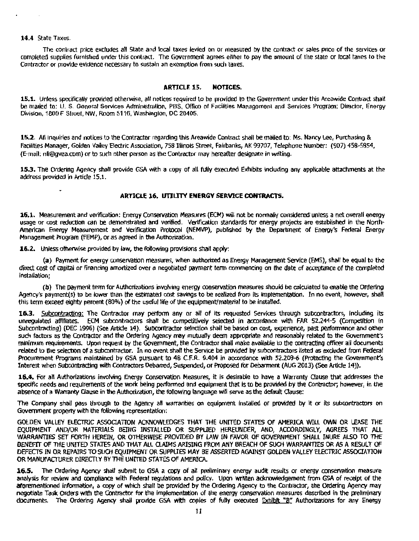#### 14.4 State Taxes.

The contract price excludes all State and local taxes levied on or measured by the contract or sales price of the services or completed supplies furnished under this contract. The Government agrees either to pay the amount of the slate or local taxes to the Contractor or provide evidence necessary to sustain an exemption from such taxes.

#### ARTICLE 15. NOTICES.

15.1. Unless specifically provided otherwise, all notices required to be provided to the Government under this Areawide Contract shall be mailed to: U. S. General Services Administration, PBS, Office of Facilities Management and Services Program; Director, Energy Division, 1800 F Slreel, NW, Room 5116, Washington, DC 20405.

15.2. All inquiries and notices to the Contractor regarding this Areawide Contract shall be mailed to; Ms. Nancy Lee, Purchasing & Facilities Manager, Golden Valley Electric Association, 758 Illinois Street, Fairbanks, AK 99707, Telephone Number: (907) 458-5854, (E-mail: nll@gvea.com) or to such other person as the Contractor may hereafter designate in writing.

15.3. The Ordering Agency shall provide GSA with a copy of all fully executed Exhibits induding any applicable attachments at the address provided in Article 15.1.

#### ARTICLE 16. UTILITY ENERGY SERVICE CONTRACTS.

16.1. Measurement and verification: Energy Conservation Measures (ECM) will not be normally considered unless a net overall energy usage or cost reduction can be demonstrated and verified. Verification standards for energy projects are established in the North-American Energy Measurement and Verification Protocol (NEMVP), published by the Department of Energy's Federal Energy Management Program (FEMP), or as agreed in the Authorization.

16.2. Unless otherwise provided by law, the following provisions shall apply:

(a} Payment for energy conservation measures, when authorized as Energy Management Service (EMS), shall be equal to the djrect cost of capital or financing amortized over a negotiated payment term commencing *on* the date of acceptance of the completed Installation;

(b) The payment term for Authorizations involving energy conservation measures should be calculated to enable the Ordering Agency's payment(s) to be lower than *the* estimated cost savings to be realized from its Implementation. In no event, however, shall this term exceed eighty percent (80%) of the useful life of the equipment/material to be installed.

16.3. Subcontracting: The Contractor may perform any or all of its requested Services through subcontractors, including its unregulated affiliates. ECM subcontractors shall be competitively selected in accordance with FAR 52.244-5 (Competition in Subcontracting) (DEC 1996) (See Article 14). subcontractor selectioo shall be based on cost, experience, past performance and other such factors as the Contractor and the Ordering Agency may mutually deem appropriate and reasonably related to the Government's minimum requirements. Upon request by the Government, the Contractor shall make available to the contracting officer all documents related to the selection of a subcontractor. In no event shall the Service be provided by subcontractors listed as excluded from Federal Procurement Programs maintained by GSA pursuant to 48 C.F.R. 9.404 in accordance with 52.209-6 (Protecting the Government's Interest when Subcontracting with Contractors Debarred, Suspended, or Proposed for Debarment (AUG 2013) (See Article 14)).

16.4. For all Authorizations involving Energy Conservation Measures, it is desirable to have a Warranty Clause that addresses the specific needs and requirements of the work being performed and equipment that is to be provided by the Contractor; however, in the absence ofa Warranty Oause in the Authorization, the following language will serve as the default Clause:

The Company shall pass through to the Agency all warranties on equipment installed or provided by it or its subcontractors on Government property with the following representation:

GOLDEN VALLEY ELECTRIC ASSOOATION ACKNOWLEDGES THAT THE UNITED STATES OF AMERICA WILL OWN OR LEASE THE EQUIPMENT ANO/OR MATERIALS BEING INSTALLED OR SUPPUEO HEREUNDER, AND, ACCORDINGLY, AGREES THAT ALL WARRANTIES SET FORTH HEREIN, OR OTHERWISE PROVIDED BY LAW IN FAVOR OF GOVERNMENT SHALL INURE ALSO TO THE BENEFIT OF THE UNITED STATES ANO THAT ALL Cl.AIMS ARISING FROM ANY BREACH OF SUOf WARRANTIES *OR* AS A RESULT OF DEFECTS IN OR REPAIRS TO SUOf EQUIPMENT OR SUPPUES MAY BE ASSERTED AGAINST GOLDEN VALLEY ELECTRIC ASSOCIATION OR MANUFACTURER DIRECTLY BY THE UNITED STATES OF AMERICA.

16.5. The Ordering Agency shall submit to GSA a copy of all preliminary energy audit results or energy conservation measure analysis for review and compliance with Federal regulations and policy. Upon written acknowledgement from GSA of receipt of the aforementioned information, a copy of which shall be provided by the Ordering Agency to the Contractor, the Ordering Agency may negotiate Task Orders with the COntractor for the Implementation of the energy conservation measures described in the preliminary documents. The Ordering Agency shall provide GSA with copies of fully executed Exhibit "B" Authorizations for any Energy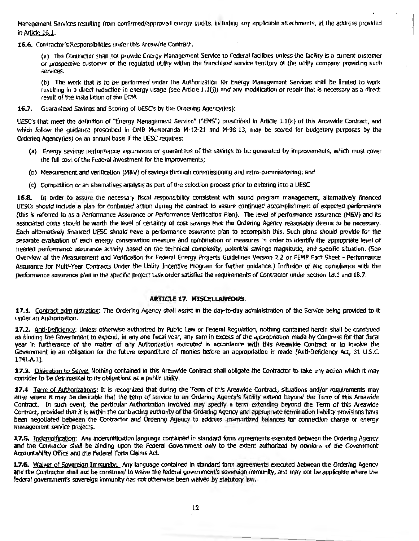Management Services resulting from confirmed/approved energy audits, including any applicable attachments, at the address provided in Article 16.1.

16.6. Contractor's Responsibilities under this Areawide Contract.

(a) The Contractor shall not provide Encrgy Management Service to Federal facilities unless the facility is a current customer or prospective customer of the regulated utility within the franchised service terrltory or the utility company providing sucti services.

(b) The work that is to be performed under the Authorization for Energy Management Services shall be limited to work resulting in a direct reduction in energy usage (see Article J.l (j)) and any modification or repair that is necessary as a direct result of the installation of the ECM.

16.7. Guaranteed Savings and Scoring of UESC's by the Ordering Agency(ies):

UESCs that meet the definition of "Energy Management Service" ("EMS") prescribed In Article 1.t(k) of this Areawide Contract, and which follow the guidance prescribed in OMB Memoranda M-12-21 and M-98-13, may be scored for budgetary purposes by the Ordering Agency(ies) on an annual basis if the UESC requires:

- (a) Energy savings performance assurances or guarantees of the savings to be generated by improvements, which must *cover*  the full cost of the federal investment for the improvements;
- (b) Measurement and verification (M&V) of savings through commissioning and retro-commissioning; and
- (c) Competition or an alternatives analysis as part of the selection process prior to entering into a UESC

16.8. In order to assure the necessary fiscal responsibility consistent with sound program management, alternatively financed UESCs should indude a plan for continued action during the contract to assure continued accomplishment of expected performance {this is referred to as a Performance Assurance or Performance Verification Plan). The level of performance assurance (M&V) and it3 associated costs should be worth the level of certainty of cost savings that the Ordering Agency reasonably deems to be necessary. Each alternatively financed UESC should have a performance assurance plan to accomplish this. Such plans should provide for the separate evaluation of each energy conservation measure and combination of measures in order to identify the appropriate level of needed perfonnance assurance activity based on the technical complexity, potential savings magnitude, and specific situation. (See Owrview of the Measurement and Verification for Federal Energy Projects Guidelines Version 2.2 or FEMP Fact Sheet - Performance Assurance for Multi-Year Contracts Under the Utility Incentive Program for further guidance.) Induslon of and compliance with the performance assurance plan in the specific project task order satisfies the requirements of Contractor under section 18.1 and 18.7.

#### ARTICLE 17. MISCELLANEOUS.

17.1. Contract administration: The Ordering Agency shall assist in the day-to-day administration of the Service being provided to it under *an* Authorization.

17.2. Anti-Deficiency: Unless otherwise authorized by Public Law or Federal Regulation, nothing contained herein shall be construed as binding the Government to expend, in any one fiscal year, any sum in excess of the appropriation made by Congress for that fiscal year in furtherance of the matter of any Authorization executed in accordance with this Areawide Contract or to involve the Government in an obligation for the future expenditure of monies before an appropriation is made (Anti~Deficlency Act, 31 U.S.C. 1341.A.1).

17.3. Obligation to Serve: Nothing contained in this Areawide Contract shall obligate the Contractor to take any action which it may consider to be detrimental to its obligations as a public utility.

17.4 Term of Authorizations: It is recognized that during the Term of this Areawide Contract, situations and/or requirements may arise where it may be desirable that the term of service to an Ordering Agency's facility extend beyond the Tenn of this Areawide Contract. In such event, the particular Authorization involved may specify a term extending beyond the Term of this Areawide Contract, provided that it Is within the contracting authority of the Ordering Agency and appropriate tennination liabillty provisions have been negotiated between the Contractor and Ordering Agency to address unamortized balances for *connection* charge or energy management service projects.

17.5. Indemnification: Any indemnification language contained in standard form agreements executed between the Ordering Agency and the Contractor shall be binding upon the Federal Government only to the extent authorized by opinions of *the* Government Accountability Office and the Federal Torts Claims Act.

17.6. Waiver of Sovereign Immunity: Any language contained in standard form agreements executed between the Ordering Agency and the Contractor shall not be construed to waive the federal government's sovereign immunity, and may not be applicable where the federal government's sovereign immunity has not otherwise been waived by statutory law.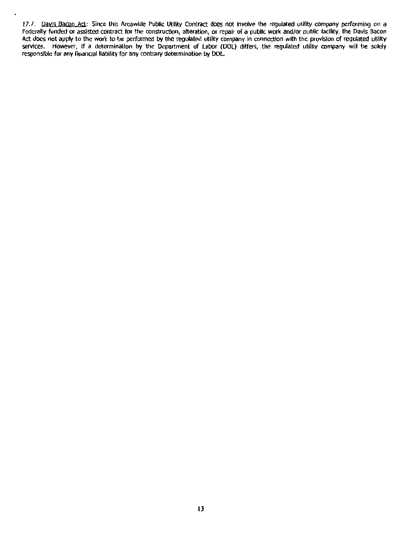17.7. Dayls Bacon Act: Since this Areawide Public Utility Contract does not involve the regulated utility company performing on a Federally funded or assisted contract for the construction, alteration, or repair of a public work and/or publlc fadlity, the Davis Bacon Act does not apply to the work to be performed by the regulated utility company in connection with the provision of regulated utility services. However, if a determination by the Department of Labor (DOL) differs, the regulated utility company will be solely responsible for any financial liability for any contrary determination by DOL.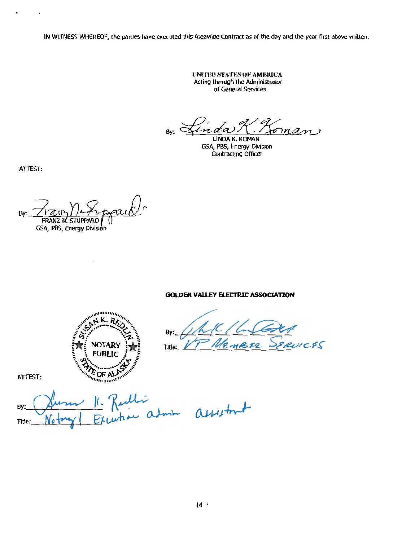IN WITNESS WHEREOF, the parties have executed this Areawide Contract as of the day and the year first above written.

UNITED STATES OF AMERICA Acting through the Administrator of General Services

 $By: \leq$ Foman  $\sim a$ 

LINDA K. KOMAN GSA, PBS, Energy Division **Contracting Officer** 

ATTEST:

 $\cdot$ 

 $\ddot{\phantom{0}}$ 

By N. STUPPARD

GSA, PBS, Energy Division

**GOLDEN VALLEY ELECTRIC ASSOCIATION** 

**Allie Continue K.RA NOTARY PUBLIC**  $\epsilon_{\text{OF Al}}$  $n_{\rm thermal}$ 

By:  $LCEC$  $MBS2$ Title:

ATTEST:

ulli<br>how admin assistant  $\mathcal{L}$ B٧ Title: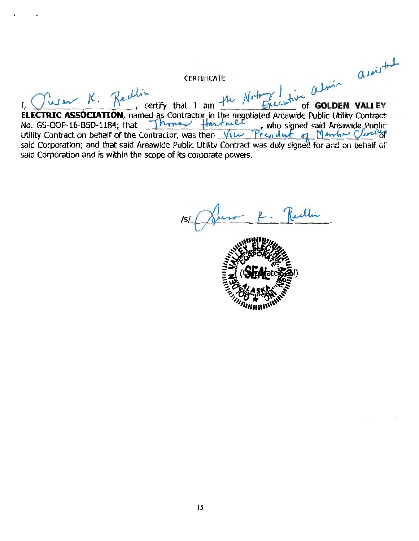CERTIFICATE<br>
I. Contract Cassociation, named as Contractor in the negotiated Areawide Public Utility Contract<br>
No. GS-OOP-16-BSD-1184; that I am the negotiated Areawide Public Utility Contract<br>
No. GS-OOP-16-BSD-1184; tha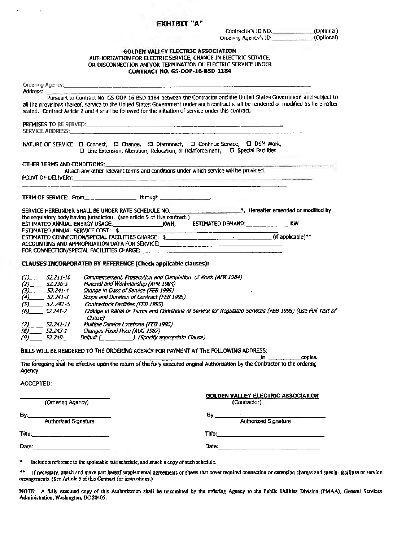#### ЕХНІВІТ "А"

×

 $\bar{\star}$ 

| Contractor's ID NO.   | (Optional) |
|-----------------------|------------|
| Ordering Agency's ID. | (Optional) |

#### **GOLDEN VALLEY ELECTRIC ASSOCIATION** AUTHORIZATION FOR ELECTRIC SERVICE, CHANGE IN ELECTRIC SERVICE, OR DISCONNECTION AND/OR TERMINATION OF ELECTRIC SERVICE UNOER **CONTRACT NO. GS-OOP-16-BSD-1184**

| Address: <b>Address:</b>             |                                                                                                                                                                                                                                                                                                                                                                     |  |
|--------------------------------------|---------------------------------------------------------------------------------------------------------------------------------------------------------------------------------------------------------------------------------------------------------------------------------------------------------------------------------------------------------------------|--|
|                                      | Pursuant to Contract No. GS-OOP-16-BSD-1184 between the Contractor and the United States Government and subject to<br>all the provisions thereof, service to the United States Government under such contract shall be rendered or modified as hereinafter<br>stated. Contract Article 2 and 4 shall be followed for the initiation of service under this contract. |  |
|                                      |                                                                                                                                                                                                                                                                                                                                                                     |  |
|                                      | NATURE OF SERVICE: □ Connect, □ Change, □ Disconnect, □ Continue Service, □ DSM Work,<br>□ Line Extension, Alteration, Relocation, or Relnforcement, □ Special Facilities                                                                                                                                                                                           |  |
| OTHER TERMS AND CONDITIONS:          |                                                                                                                                                                                                                                                                                                                                                                     |  |
| point of delivery: .                 | Attach any other relevant terms and conditions under which service will be provided.<br>the control of the control of the control of                                                                                                                                                                                                                                |  |
|                                      | TERM OF SERVICE: From ____________________through ________________.                                                                                                                                                                                                                                                                                                 |  |
|                                      | SERVICE HEREUNDER SHALL BE UNDER RATE SCHEDULE NO. ______________________*, Hereafter amended or modified by<br>the regulatory body having jurisdiction. (see article 5 of this contract.)                                                                                                                                                                          |  |
|                                      | ESTIMATED DEMAND: KW                                                                                                                                                                                                                                                                                                                                                |  |
|                                      | ESTIMATED ANNUAL SERVICE COST: \$                                                                                                                                                                                                                                                                                                                                   |  |
|                                      |                                                                                                                                                                                                                                                                                                                                                                     |  |
|                                      | ACCOUNTING AND APPROPRIATION DATA FOR SERVICE: __________________________________                                                                                                                                                                                                                                                                                   |  |
|                                      | CLAUSES INCORPORATED BY REFERENCE (Check applicable clauses):                                                                                                                                                                                                                                                                                                       |  |
| $(1)$ 52.211-10                      | Commencement, Prosecution and Completion of Work (APR 1984)                                                                                                                                                                                                                                                                                                         |  |
| $(2)$ <sub>--</sub> 52.236-5         | Material and Workmanship (APR 1984)                                                                                                                                                                                                                                                                                                                                 |  |
| $(3)$ 52.241-4<br>$(4)$ 52.241-3     | Change in Class of Service (FEB 1995)<br>Scope and Duration of Contract (FEB 1995)                                                                                                                                                                                                                                                                                  |  |
| $(5)$ 52.241-5                       | Contractor's Facilities (FEB 1995)                                                                                                                                                                                                                                                                                                                                  |  |
| $(6)$ 52.241-7                       | Change in Rates or Terms and Conditions of Service for Regulated Services (FEB 1995) (Use Full Text of<br>Clause)                                                                                                                                                                                                                                                   |  |
| $(7)$ 52,241-11                      | Multiple Service Locations (FEB 1995)                                                                                                                                                                                                                                                                                                                               |  |
|                                      | (8) 52.243-1 Changes-Fixed Price (AUG 1987)                                                                                                                                                                                                                                                                                                                         |  |
| $(9)$ 52.249 $-$                     | Default (______________) (Specify appropriate Clause)                                                                                                                                                                                                                                                                                                               |  |
|                                      | BILLS WILL BE RENDERED TO THE ORDERING AGENCY FOR PAYMENT AT THE FOLLOWING ADDRESS:                                                                                                                                                                                                                                                                                 |  |
|                                      | copies.<br>in l                                                                                                                                                                                                                                                                                                                                                     |  |
| Agency.                              | The foregoing shall be effective upon the return of the fully executed onginal Authorization by the Contractor to the ordenng                                                                                                                                                                                                                                       |  |
| ACCEPTED:                            |                                                                                                                                                                                                                                                                                                                                                                     |  |
| (Ordering Agency)                    | <b>GOLDEN VALLEY ELECTRIC ASSOCIATION</b><br>(Contractor)                                                                                                                                                                                                                                                                                                           |  |
|                                      |                                                                                                                                                                                                                                                                                                                                                                     |  |
| <b>Authorized Signature</b><br>By __ | By: <b>Authorized Signature</b>                                                                                                                                                                                                                                                                                                                                     |  |
|                                      |                                                                                                                                                                                                                                                                                                                                                                     |  |
|                                      |                                                                                                                                                                                                                                                                                                                                                                     |  |
| Date:________________________        |                                                                                                                                                                                                                                                                                                                                                                     |  |

\*\* If necessary, attach and make part hereof supplemental agreements or sheets that cover required connection or extension charges and special facilities or service arrangements. (See Article 5 of this Contract for instructions.)

NOTE: A fully executed copy of this Authorization shall be transmitted by the ordering Agency to the Public Utilities Division (PMAA), General Services<br>Administration, Washington, DC 20405.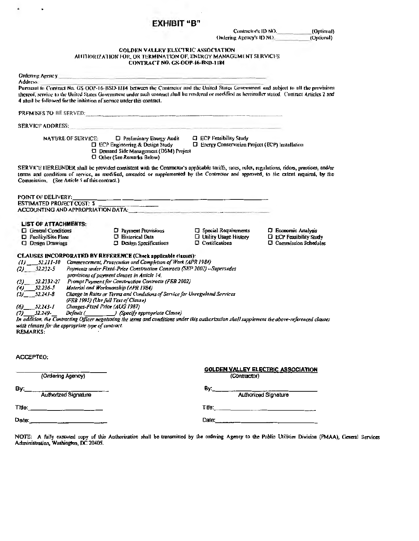## ЕХНІВІТ "В"

 $\bullet$ 

 $\ddot{\phantom{0}}$ 

| Contractor's ID NO.      | (Ontional) |  |
|--------------------------|------------|--|
| Ordering Agency's ID NO_ | (Optional) |  |

# **GOLDEN VALLEY ELECTRIC ASSOCIATION<br>AUTHORIZATION FOR, OR TERMINATION OF, ENERGY MANAGEMENT SERVICES**

|                                                                        | CONTRACT NO. GS-OOP-16-BSD-1184                                                                                                                                                                                                                                                       |                                                                                  |                                                             |
|------------------------------------------------------------------------|---------------------------------------------------------------------------------------------------------------------------------------------------------------------------------------------------------------------------------------------------------------------------------------|----------------------------------------------------------------------------------|-------------------------------------------------------------|
| Ordering Agency                                                        |                                                                                                                                                                                                                                                                                       |                                                                                  |                                                             |
| Address:                                                               | Pursuant to Contract No. GS-OOP-16-BSD-1184 between the Contractor and the United States Government and subject to all the provisions                                                                                                                                                 |                                                                                  |                                                             |
|                                                                        | thereof, service to the United States Government under such contract shall be rendered or modified as bereinafter stated. Contract Articles 2 and                                                                                                                                     |                                                                                  |                                                             |
| 4 shall be followed for the initiation of service under this contract. |                                                                                                                                                                                                                                                                                       |                                                                                  |                                                             |
|                                                                        |                                                                                                                                                                                                                                                                                       |                                                                                  |                                                             |
| <b>SERVICE ADDRESS:</b>                                                |                                                                                                                                                                                                                                                                                       |                                                                                  |                                                             |
| NATURE OF SERVICE:                                                     | <b>D</b> Preliminary Energy Audit<br>□ ECP Engineering & Design Study<br><b>ID</b> Demand Side Management (DSM) Project<br><b>D</b> Other (See Remarks Below)                                                                                                                         | <b>ECP Feasibility Study</b><br>□ Energy Conservation Project (ECP) Installation |                                                             |
| Commission. (See Article 5 of this contract.)                          | SERVICE HEREUNDER shall be provided consistent with the Contractor's applicable tariffs, rates, rules, regulations, riders, practices, and/or<br>terms and conditions of service, as modified, amended or supplemented by the Contractor and approved, to the extent required, by the |                                                                                  |                                                             |
| <b>POINT OF DELIVERY:</b>                                              |                                                                                                                                                                                                                                                                                       |                                                                                  |                                                             |
| <b>ESTIMATED PROJECT COST: \$</b>                                      | $\overline{a}$ and $\overline{a}$ and $\overline{a}$ and $\overline{a}$                                                                                                                                                                                                               |                                                                                  |                                                             |
|                                                                        | ACCOUNTING AND APPROPRIATION DATA: ACCOUNTING AND APPROPRIATION DATA:                                                                                                                                                                                                                 |                                                                                  |                                                             |
| <b>LIST OF ATTACHMENTS:</b>                                            |                                                                                                                                                                                                                                                                                       |                                                                                  |                                                             |
| <b>C</b> General Conditions                                            | <b>E</b> Payment Provisions                                                                                                                                                                                                                                                           | $\Box$ Special Requirements                                                      | <b>D</b> Economic Analysis                                  |
| D Facility/Site Plans<br><b>C</b> Design Drawings                      | $\Box$ Historical Data<br>$\Box$ Design Specifications                                                                                                                                                                                                                                | $\Box$ Utility Usage History<br>$\Box$ Certifications                            | <b>ECP Feasibility Study</b><br>$\Box$ Commission Schedules |
|                                                                        |                                                                                                                                                                                                                                                                                       |                                                                                  |                                                             |
|                                                                        | CLAUSES INCORPORATED BY REFERENCE (Check applicable clauses):                                                                                                                                                                                                                         |                                                                                  |                                                             |
| $(D_{11} = 52.211 - 10$<br>$(2)$ $52,232-5$                            | Commencement, Prosecution and Completion of Work (APR 1984)<br>Payments under Fixed-Price Construction Contracts (SEP 2002) -- Supersedes                                                                                                                                             |                                                                                  |                                                             |
|                                                                        | provisions of payment clauses in Article 14.                                                                                                                                                                                                                                          |                                                                                  |                                                             |
| 52.2332-27<br>(3)                                                      | Prompt Payment for Construction Contracts (FEB 2002)                                                                                                                                                                                                                                  |                                                                                  |                                                             |
| $(4)$ 52.236-5                                                         | Material and Workmanship (APR 1984)                                                                                                                                                                                                                                                   |                                                                                  |                                                             |
| $(5)$ 52.241-8                                                         | Change in Rates or Terms and Conditions of Service far Unregulated Services<br>(FEB 1995) (Use full Text of Clause)                                                                                                                                                                   |                                                                                  |                                                             |
| 52.243-1<br>(6)                                                        | Changes-Fixed Price (AUG 1987)                                                                                                                                                                                                                                                        |                                                                                  |                                                             |
| $(7)$ 52.249.                                                          | Default (Specify appropriate Clause)<br>In addition, the Contracting Officer negotiating the terms and conditions under this authorization shall supplement the above-referenced clauses                                                                                              |                                                                                  |                                                             |
| with clauses for the appropriate type of contract.                     |                                                                                                                                                                                                                                                                                       |                                                                                  |                                                             |
| <b>REMARKS:</b>                                                        |                                                                                                                                                                                                                                                                                       |                                                                                  |                                                             |
|                                                                        |                                                                                                                                                                                                                                                                                       |                                                                                  |                                                             |
|                                                                        |                                                                                                                                                                                                                                                                                       |                                                                                  |                                                             |
| <b>ACCEPTEO:</b>                                                       |                                                                                                                                                                                                                                                                                       |                                                                                  |                                                             |
| (Ordering Agency)                                                      |                                                                                                                                                                                                                                                                                       | (Contractor)                                                                     | <u>GOLDEN VALLEY ELECTRIC ASSOCIATION</u>                   |
|                                                                        |                                                                                                                                                                                                                                                                                       |                                                                                  |                                                             |
| By:<br>Authorized Signature                                            |                                                                                                                                                                                                                                                                                       | By:                                                                              | Authorized Signature                                        |
|                                                                        |                                                                                                                                                                                                                                                                                       | <b>Title:</b> ______________________                                             |                                                             |
|                                                                        |                                                                                                                                                                                                                                                                                       |                                                                                  |                                                             |
|                                                                        |                                                                                                                                                                                                                                                                                       |                                                                                  |                                                             |

NOTE: A fully executed copy of this Authorization shall be transmitted by the ordering Agency to the Public Utilities Division (PMAA), General Services<br>Administration, Washington, DC 20405.